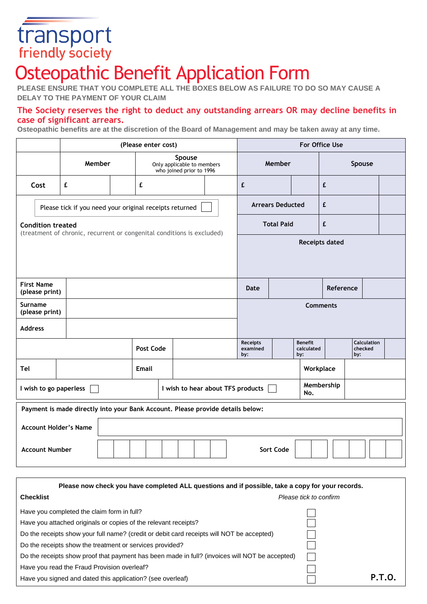# transport

# Osteopathic Benefit Application Form

**PLEASE ENSURE THAT YOU COMPLETE ALL THE BOXES BELOW AS FAILURE TO DO SO MAY CAUSE A DELAY TO THE PAYMENT OF YOUR CLAIM**

## **The Society reserves the right to deduct any outstanding arrears OR may decline benefits in case of significant arrears.**

**Osteopathic benefits are at the discretion of the Board of Management and may be taken away at any time.**

|                                                                                                    | (Please enter cost) |              |           |                                                                  | For Office Use          |                                    |  |                                     |        |                                      |  |  |
|----------------------------------------------------------------------------------------------------|---------------------|--------------|-----------|------------------------------------------------------------------|-------------------------|------------------------------------|--|-------------------------------------|--------|--------------------------------------|--|--|
|                                                                                                    | Member              |              |           | Spouse<br>Only applicable to members<br>who joined prior to 1996 |                         | Member                             |  |                                     | Spouse |                                      |  |  |
| Cost                                                                                               | £                   |              | £         |                                                                  |                         | £                                  |  |                                     | £      |                                      |  |  |
| Please tick if you need your original receipts returned                                            |                     |              |           |                                                                  | <b>Arrears Deducted</b> |                                    |  | £                                   |        |                                      |  |  |
| <b>Condition treated</b><br>(treatment of chronic, recurrent or congenital conditions is excluded) |                     |              |           |                                                                  | <b>Total Paid</b>       |                                    |  | £                                   |        |                                      |  |  |
|                                                                                                    |                     |              |           |                                                                  | <b>Receipts dated</b>   |                                    |  |                                     |        |                                      |  |  |
|                                                                                                    |                     |              |           |                                                                  |                         |                                    |  |                                     |        |                                      |  |  |
| <b>First Name</b><br>(please print)                                                                |                     |              |           |                                                                  | Date                    | Reference                          |  |                                     |        |                                      |  |  |
| Surname<br>(please print)                                                                          |                     |              |           | <b>Comments</b>                                                  |                         |                                    |  |                                     |        |                                      |  |  |
| <b>Address</b>                                                                                     |                     |              |           |                                                                  |                         |                                    |  |                                     |        |                                      |  |  |
|                                                                                                    |                     |              | Post Code |                                                                  |                         | <b>Receipts</b><br>examined<br>by: |  | <b>Benefit</b><br>calculated<br>by: |        | <b>Calculation</b><br>checked<br>by: |  |  |
| Tel                                                                                                |                     | <b>Email</b> |           |                                                                  |                         |                                    |  | Workplace                           |        |                                      |  |  |
| I wish to go paperless<br>I wish to hear about TFS products                                        |                     |              |           | Membership<br>No.                                                |                         |                                    |  |                                     |        |                                      |  |  |
| Payment is made directly into your Bank Account. Please provide details below:                     |                     |              |           |                                                                  |                         |                                    |  |                                     |        |                                      |  |  |
| <b>Account Holder's Name</b>                                                                       |                     |              |           |                                                                  |                         |                                    |  |                                     |        |                                      |  |  |
| <b>Account Number</b><br>Sort Code                                                                 |                     |              |           |                                                                  |                         |                                    |  |                                     |        |                                      |  |  |

| Please now check you have completed ALL questions and if possible, take a copy for your records. |                        |               |  |  |
|--------------------------------------------------------------------------------------------------|------------------------|---------------|--|--|
| <b>Checklist</b>                                                                                 | Please tick to confirm |               |  |  |
| Have you completed the claim form in full?                                                       |                        |               |  |  |
| Have you attached originals or copies of the relevant receipts?                                  |                        |               |  |  |
| Do the receipts show your full name? (credit or debit card receipts will NOT be accepted)        |                        |               |  |  |
| Do the receipts show the treatment or services provided?                                         |                        |               |  |  |
| Do the receipts show proof that payment has been made in full? (invoices will NOT be accepted)   |                        |               |  |  |
| Have you read the Fraud Provision overleaf?                                                      |                        |               |  |  |
| Have you signed and dated this application? (see overleaf)                                       |                        | <b>P.T.O.</b> |  |  |